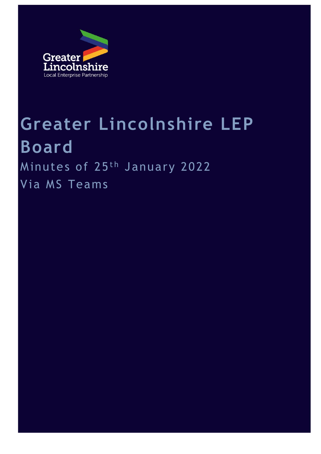

# **Greater Lincolnshire LEP Board** Minutes of 25<sup>th</sup> January 2022

Via MS Teams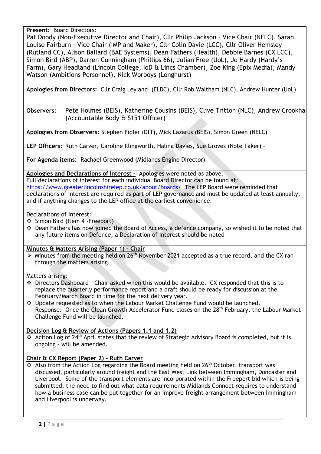**Present:** Board Directors:

Pat Doody (Non-Executive Director and Chair), Cllr Philip Jackson – Vice Chair (NELC), Sarah Louise Fairburn - Vice Chair (IMP and Maker), Cllr Colin Davie (LCC), Cllr Oliver Hemsley (Rutland CC), Alison Ballard (BAE Systems), Dean Fathers (Health), Debbie Barnes (CX LCC), Simon Bird (ABP), Darren Cunningham (Phillips 66), Julian Free (UoL), Jo Hardy (Hardy's Farm), Gary Headland (Lincoln College, IoD & Lincs Chamber), Zoe King (Epix Media), Mandy Watson (Ambitions Personnel), Nick Worboys (Longhurst)

**Apologies from Directors:** Cllr Craig Leyland (ELDC), Cllr Rob Waltham (NLC), Andrew Hunter (UoL)

**Observers:** Pete Holmes (BEIS), Katherine Cousins (BEIS), Clive Tritton (NLC), Andrew Crookham (Accountable Body & S151 Officer)

**Apologies from Observers:** Stephen Fidler (DfT), Mick Lazarus (BEIS), Simon Green (NELC)

**LEP Officers:** Ruth Carver, Caroline Illingworth, Halina Davies, Sue Groves (Note Taker) –

**For Agenda items:** Rachael Greenwood (Midlands Engine Director)

**Apologies and Declarations of Interest –** Apologies were noted as above. Full declarations of interest for each individual Board Director can be found at:

<https://www.greaterlincolnshirelep.co.uk/about/boards/>The LEP Board were reminded that declarations of interest are required as part of LEP governance and must be updated at least annually, and if anything changes to the LEP office at the earliest convenience.

Declarations of Interest:

- ❖ Simon Bird (Item 4 -Freeport)
- ❖ Dean Fathers has now joined the Board of Access, a defence company, so wished it to be noted that any future items on Defence, a Declaration of Interest should be noted

# **Minutes & Matters Arising (Paper 1) – Chair**

 $\triangleright$  Minutes from the meeting held on 26<sup>th</sup> November 2021 accepted as a true record, and the CX ran through the matters arising.

Matters arising:

- ❖ Directors Dashboard Chair asked when this would be available. CX responded that this is to replace the quarterly performance report and a draft should be ready for discussion at the February/March Board in time for the next delivery year.
- ❖ Update requested as to when the Labour Market Challenge Fund would be launched. Response: Once the Clean Growth Accelerator Fund closes on the 28<sup>th</sup> February, the Labour Market Challenge Fund will be launched.

# **Decision Log & Review of Actions (Papers 1.1 and 1.2)**

◆ Action Log of 24<sup>th</sup> April states that the review of Strategic Advisory Board is completed, but it is ongoing – will be amended.

# **Chair & CX Report (Paper 2) – Ruth Carver**

 $\cdot$  Also from the Action Log regarding the Board meeting held on 26<sup>th</sup> October, transport was discussed, particularly around freight and the East West Link between Immingham, Doncaster and Liverpool. Some of the transport elements are incorporated within the Freeport bid which is being submitted, the need to find out what data requirements Midlands Connect requires to understand how a business case can be put together for an improve freight arrangement between Immingham and Liverpool is underway.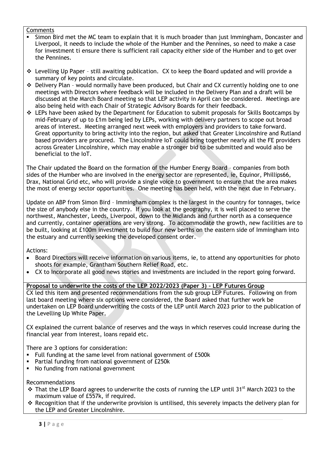#### Comments

- Simon Bird met the MC team to explain that it is much broader than just Immingham, Doncaster and Liverpool, it needs to include the whole of the Humber and the Pennines, so need to make a case for investment ti ensure there is sufficient rail capacity either side of the Humber and to get over the Pennines.
- ❖ Levelling Up Paper still awaiting publication. CX to keep the Board updated and will provide a summary of key points and circulate.
- ❖ Delivery Plan would normally have been produced, but Chair and CX currently holding one to one meetings with Directors where feedback will be included in the Delivery Plan and a draft will be discussed at the March Board meeting so that LEP activity in April can be considered. Meetings are also being held with each Chair of Strategic Advisory Boards for their feedback.
- ❖ LEPs have been asked by the Department for Education to submit proposals for Skills Bootcamps by mid-February of up to £1m being led by LEPs, working with delivery partners to scope out broad areas of interest. Meeting arranged next week with employers and providers to take forward. Great opportunity to bring activity into the region, but asked that Greater Lincolnshire and Rutland based providers are procured. The Lincolnshire IoT could bring together nearly all the FE providers across Greater Lincolnshire, which may enable a stronger bid to be submitted and would also be beneficial to the IoT.

The Chair updated the Board on the formation of the Humber Energy Board – companies from both sides of the Humber who are involved in the energy sector are represented, ie, Equinor, Phillips66, Drax, National Grid etc, who will provide a single voice to government to ensure that the area makes the most of energy sector opportunities. One meeting has been held, with the next due in February.

Update on ABP from Simon Bird – Immingham complex is the largest in the country for tonnages, twice the size of anybody else in the country. If you look at the geography, it is well placed to serve the northwest, Manchester, Leeds, Liverpool, down to the Midlands and further north as a consequence and currently, container operations are very strong. To accommodate the growth, new facilities are to be built, looking at £100m investment to build four new berths on the eastern side of Immingham into the estuary and currently seeking the developed consent order.

Actions:

- Board Directors will receive information on various items, ie, to attend any opportunities for photo shoots for example, Grantham Southern Relief Road, etc.
- CX to Incorporate all good news stories and investments are included in the report going forward.

# **Proposal to underwrite the costs of the LEP 2022/2023 (Paper 3) – LEP Futures Group**

CX led this item and presented recommendations from the sub group LEP Futures. Following on from last board meeting where six options were considered, the Board asked that further work be undertaken on LEP Board underwriting the costs of the LEP until March 2023 prior to the publication of the Levelling Up White Paper.

CX explained the current balance of reserves and the ways in which reserves could increase during the financial year from interest, loans repaid etc.

There are 3 options for consideration:

- Full funding at the same level from national government of £500k
- Partial funding from national government of £250k
- No funding from national government

#### Recommendations

- ❖ That the LEP Board agrees to underwrite the costs of running the LEP until 31st March 2023 to the maximum value of £557k, if required.
- ❖ Recognition that if the underwrite provision is untilised, this severely impacts the delivery plan for the LEP and Greater Lincolnshire.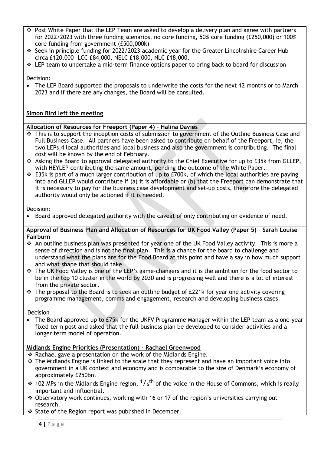- ❖ Post White Paper that the LEP Team are asked to develop a delivery plan and agree with partners for 2022/2023 with three funding scenarios, no core funding, 50% core funding (£250,000) or 100% core funding from government (£500,000k)
- ❖ Seek in principle funding for 2022/2023 academic year for the Greater Lincolnshire Career Hub circa £120,000 –LCC £84,000, NELC £18,000, NLC £18,000.
- $\div$  LEP team to undertake a mid-term finance options paper to bring back to board for discussion

Decision:

• The LEP Board supported the proposals to underwrite the costs for the next 12 months or to March 2023 and if there are any changes, the Board will be consulted.

# **Simon Bird left the meeting**

#### **Allocation of Resources for Freeport (Paper 4) – Halina Davies**

- ❖ This is to support the inception costs of submission to government of the Outline Business Case and Full Business Case. All partners have been asked to contribute on behalf of the Freeport, ie, the two LEPs,4 local authorities and local business and also the government is contributing. The final cost will be known by the end of February.
- ❖ Asking the Board to approval delegated authority to the Chief Executive for up to £35k from GLLEP, with HEYLEP contributing the same amount, pending the outcome of the White Paper.
- ❖ £35k is part of a much larger contribution of up to £700k, of which the local authorities are paying into and GLLEP would contribute if (a) it is affordable or (b) that the Freeport can demonstrate that it is necessary to pay for the business case development and set-up costs, therefore the delegated authority would only be actioned if it is needed.

Decision:

• Board approved delegated authority with the caveat of only contributing on evidence of need.

#### **Approval of Business Plan and Allocation of Resources for UK Food Valley (Paper 5) – Sarah Louise Fairburn**

- ❖ An outline business plan was presented for year one of the UK Food Valley activity. This is more a sense of direction and is not the final plan. This is a chance for the board to challenge and understand what the plans are for the Food Board at this point and have a say in how much support and what shape that should take.
- ❖ The UK Food Valley is one of the LEP's game-changers and it is the ambition for the food sector to be in the top 10 cluster in the world by 2030 and is progressing well and there is a lot of interest from the private sector.
- ❖ The proposal to the Board is to seek an outline budget of £221k for year one activity covering programme management, comms and engagement, research and developing business cases.

Decision

• The Board approved up to £75k for the UKFV Programme Manager within the LEP team as a one-year fixed term post and asked that the full business plan be developed to consider activities and a longer term model of operation.

# **Midlands Engine Priorities (Presentation) – Rachael Greenwood**

- ❖ Rachael gave a presentation on the work of the Midlands Engine.
- ❖ The Midlands Engine is linked to the scale that they represent and have an important voice into government in a UK context and economy and is comparable to the size of Denmark's economy of approximately £250bn.
- ❖ 102 MPs in the Midlands Engine region,  $^{1}/6^{th}$  of the voice in the House of Commons, which is really important and influential.
- ❖ Observatory work continues, working with 16 or 17 of the region's universities carrying out research.
- ❖ State of the Region report was published in December.